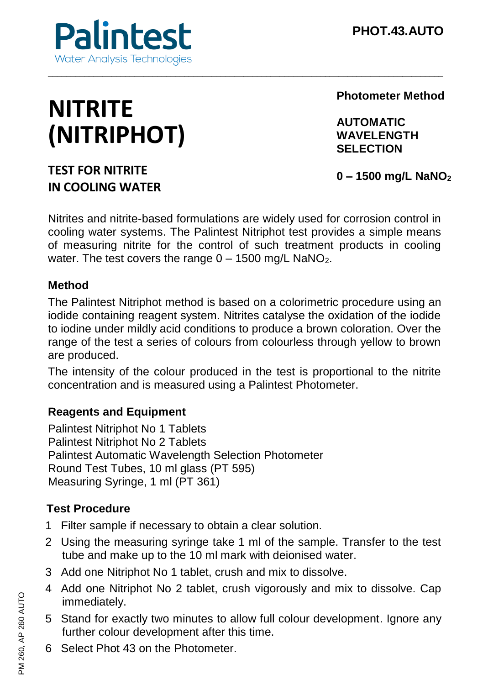

# **NITRITE (NITRIPHOT)**

**Photometer Method**

**AUTOMATIC WAVELENGTH SELECTION**

# **TEST FOR NITRITE IN COOLING WATER**

**0 – 1500 mg/L NaNO<sup>2</sup>**

Nitrites and nitrite-based formulations are widely used for corrosion control in cooling water systems. The Palintest Nitriphot test provides a simple means of measuring nitrite for the control of such treatment products in cooling water. The test covers the range  $0 - 1500$  mg/L NaNO<sub>2</sub>.

\_\_\_\_\_\_\_\_\_\_\_\_\_\_\_\_\_\_\_\_\_\_\_\_\_\_\_\_\_\_\_\_\_\_\_\_\_\_\_\_\_\_\_\_\_\_\_\_\_\_\_\_\_\_\_\_\_\_\_\_\_\_\_\_\_\_\_\_\_\_\_\_\_\_\_\_\_\_\_\_\_\_\_\_\_\_\_

#### **Method**

The Palintest Nitriphot method is based on a colorimetric procedure using an iodide containing reagent system. Nitrites catalyse the oxidation of the iodide to iodine under mildly acid conditions to produce a brown coloration. Over the range of the test a series of colours from colourless through yellow to brown are produced.

The intensity of the colour produced in the test is proportional to the nitrite concentration and is measured using a Palintest Photometer.

### **Reagents and Equipment**

Palintest Nitriphot No 1 Tablets Palintest Nitriphot No 2 Tablets Palintest Automatic Wavelength Selection Photometer Round Test Tubes, 10 ml glass (PT 595) Measuring Syringe, 1 ml (PT 361)

# **Test Procedure**

- 1 Filter sample if necessary to obtain a clear solution.
- 2 Using the measuring syringe take 1 ml of the sample. Transfer to the test tube and make up to the 10 ml mark with deionised water.
- 3 Add one Nitriphot No 1 tablet, crush and mix to dissolve.
- 4 Add one Nitriphot No 2 tablet, crush vigorously and mix to dissolve. Cap immediately.
- 5 Stand for exactly two minutes to allow full colour development. Ignore any further colour development after this time.
- 6 Select Phot 43 on the Photometer.